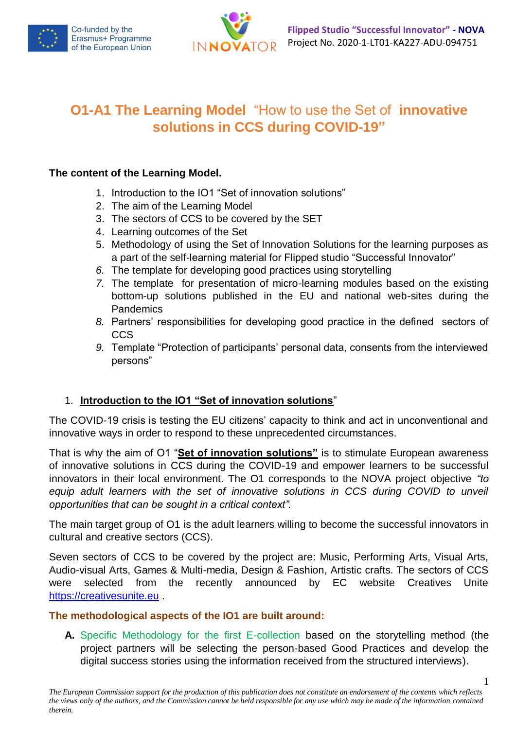



# **O1-A1 The Learning Model** "How to use the Set of **innovative solutions in CCS during COVID-19"**

## **The content of the Learning Model.**

- 1. Introduction to the IO1 "Set of innovation solutions"
- 2. The aim of the Learning Model
- 3. The sectors of CCS to be covered by the SET
- 4. Learning outcomes of the Set
- 5. Methodology of using the Set of Innovation Solutions for the learning purposes as a part of the self-learning material for Flipped studio "Successful Innovator"
- *6.* The template for developing good practices using storytelling
- *7.* The template for presentation of micro-learning modules based on the existing bottom-up solutions published in the EU and national web-sites during the Pandemics
- *8.* Partners' responsibilities for developing good practice in the defined sectors of CCS
- *9.* Template "Protection of participants' personal data, consents from the interviewed persons"

# 1. **Introduction to the IO1 "Set of innovation solutions**"

The COVID-19 crisis is testing the EU citizens' capacity to think and act in unconventional and innovative ways in order to respond to these unprecedented circumstances.

That is why the aim of O1 "**Set of innovation solutions"** is to stimulate European awareness of innovative solutions in CCS during the COVID-19 and empower learners to be successful innovators in their local environment. The O1 corresponds to the NOVA project objective *"to*  equip adult learners with the set of innovative solutions in CCS during COVID to unveil *opportunities that can be sought in a critical context".*

The main target group of O1 is the adult learners willing to become the successful innovators in cultural and creative sectors (CCS).

Seven sectors of CCS to be covered by the project are: Music, Performing Arts, Visual Arts, Audio-visual Arts, Games & Multi-media, Design & Fashion, Artistic crafts. The sectors of CCS were selected from the recently announced by EC website Creatives Unite [https://creativesunite.eu](https://creativesunite.eu/) .

#### **The methodological aspects of the IO1 are built around:**

**A.** Specific Methodology for the first E-collection based on the storytelling method (the project partners will be selecting the person-based Good Practices and develop the digital success stories using the information received from the structured interviews).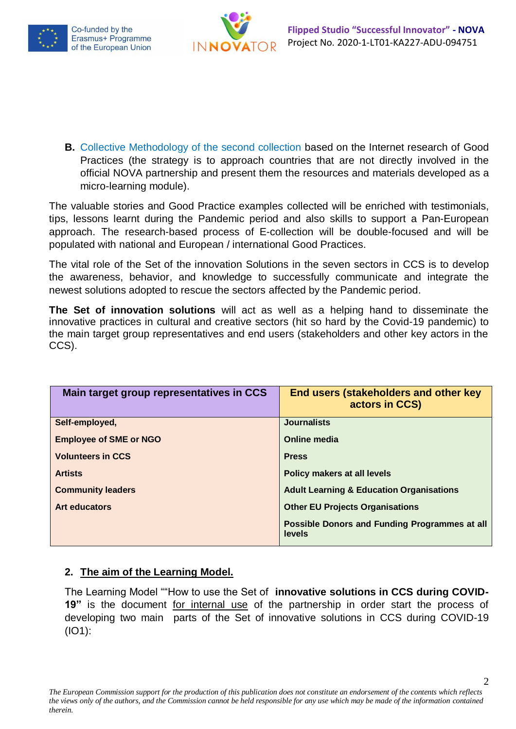



**B.** Collective Methodology of the second collection based on the Internet research of Good Practices (the strategy is to approach countries that are not directly involved in the official NOVA partnership and present them the resources and materials developed as a micro-learning module).

The valuable stories and Good Practice examples collected will be enriched with testimonials, tips, lessons learnt during the Pandemic period and also skills to support a Pan-European approach. The research-based process of E-collection will be double-focused and will be populated with national and European / international Good Practices.

The vital role of the Set of the innovation Solutions in the seven sectors in CCS is to develop the awareness, behavior, and knowledge to successfully communicate and integrate the newest solutions adopted to rescue the sectors affected by the Pandemic period.

**The Set of innovation solutions** will act as well as a helping hand to disseminate the innovative practices in cultural and creative sectors (hit so hard by the Covid-19 pandemic) to the main target group representatives and end users (stakeholders and other key actors in the CCS).

| Main target group representatives in CCS | End users (stakeholders and other key<br>actors in CCS) |
|------------------------------------------|---------------------------------------------------------|
| Self-employed,                           | <b>Journalists</b>                                      |
| <b>Employee of SME or NGO</b>            | Online media                                            |
| <b>Volunteers in CCS</b>                 | <b>Press</b>                                            |
| <b>Artists</b>                           | Policy makers at all levels                             |
| <b>Community leaders</b>                 | <b>Adult Learning &amp; Education Organisations</b>     |
| <b>Art educators</b>                     | <b>Other EU Projects Organisations</b>                  |
|                                          | Possible Donors and Funding Programmes at all<br>levels |

# **2. The aim of the Learning Model.**

The Learning Model ""How to use the Set of **innovative solutions in CCS during COVID-19"** is the document for internal use of the partnership in order start the process of developing two main parts of the Set of innovative solutions in CCS during COVID-19 (IO1):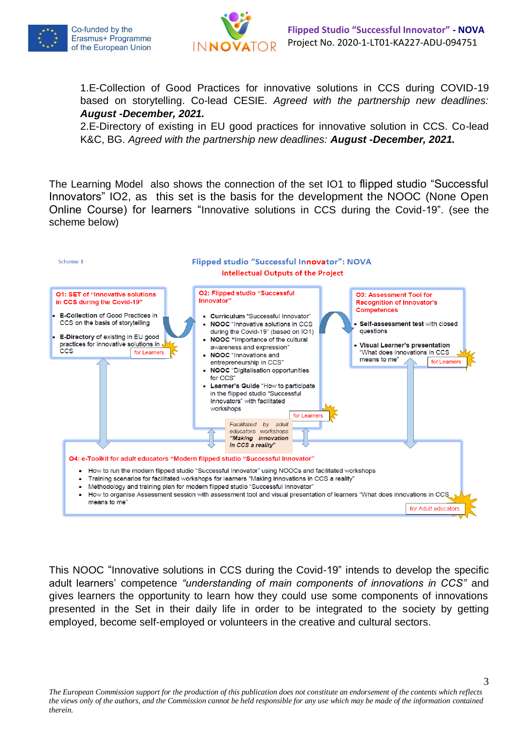



1.E-Collection of Good Practices for innovative solutions in CCS during COVID-19 based on storytelling. Co-lead CESIE. *Agreed with the partnership new deadlines: August -December, 2021.* 

2.E-Directory of existing in EU good practices for innovative solution in CCS. Co-lead K&C, BG. *Agreed with the partnership new deadlines: August -December, 2021.* 

The Learning Model also shows the connection of the set IO1 to flipped studio "Successful Innovators" IO2, as this set is the basis for the development the NOOC (None Open Online Course) for learners "Innovative solutions in CCS during the Covid-19". (see the scheme below)



This NOOC "Innovative solutions in CCS during the Covid-19" intends to develop the specific adult learners' competence *"understanding of main components of innovations in CCS"* and gives learners the opportunity to learn how they could use some components of innovations presented in the Set in their daily life in order to be integrated to the society by getting employed, become self-employed or volunteers in the creative and cultural sectors.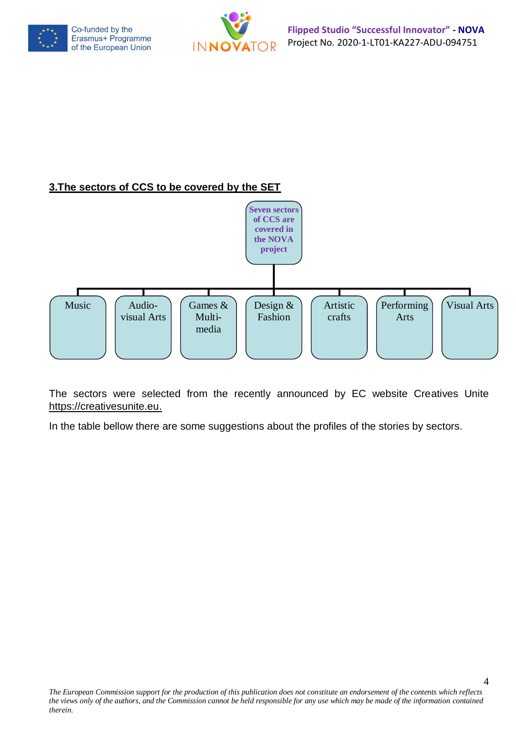



# **3.The sectors of CCS to be covered by the SET**



The sectors were selected from the recently announced by EC website Creatives Unite [https://creativesunite.eu.](https://creativesunite.eu/)

In the table bellow there are some suggestions about the profiles of the stories by sectors.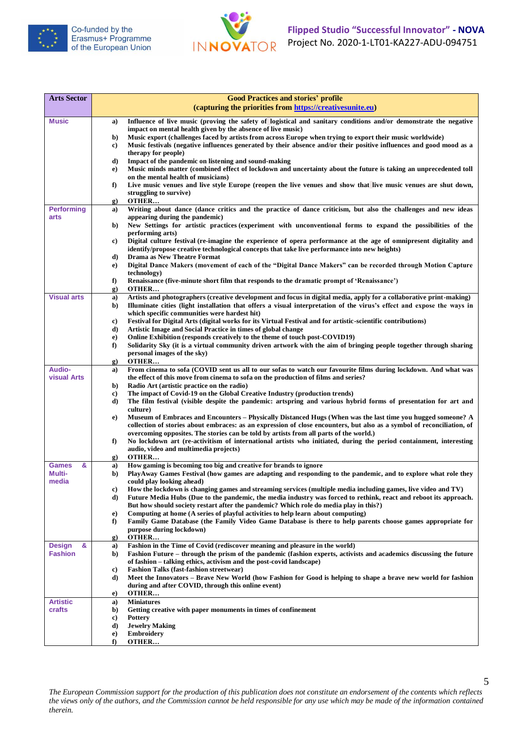



| <b>Arts Sector</b> |          | <b>Good Practices and stories' profile</b>                                                                                                                                                                                        |
|--------------------|----------|-----------------------------------------------------------------------------------------------------------------------------------------------------------------------------------------------------------------------------------|
|                    |          | (capturing the priorities from https://creativesunite.eu)                                                                                                                                                                         |
| <b>Music</b>       | a)       | Influence of live music (proving the safety of logistical and sanitary conditions and/or demonstrate the negative                                                                                                                 |
|                    |          | impact on mental health given by the absence of live music)                                                                                                                                                                       |
|                    | b)       | Music export (challenges faced by artists from across Europe when trying to export their music worldwide)                                                                                                                         |
|                    | c)       | Music festivals (negative influences generated by their absence and/or their positive influences and good mood as a<br>therapy for people)                                                                                        |
|                    | d)       | Impact of the pandemic on listening and sound-making                                                                                                                                                                              |
|                    | e)       | Music minds matter (combined effect of lockdown and uncertainty about the future is taking an unprecedented toll                                                                                                                  |
|                    |          | on the mental health of musicians)                                                                                                                                                                                                |
|                    | f)       | Live music venues and live style Europe (reopen the live venues and show that live music venues are shut down,                                                                                                                    |
|                    | g)       | struggling to survive)<br>OTHER                                                                                                                                                                                                   |
| <b>Performing</b>  | a)       | Writing about dance (dance critics and the practice of dance criticism, but also the challenges and new ideas                                                                                                                     |
| arts               |          | appearing during the pandemic)                                                                                                                                                                                                    |
|                    | b)       | New Settings for artistic practices (experiment with unconventional forms to expand the possibilities of the                                                                                                                      |
|                    |          | performing arts)<br>Digital culture festival (re-imagine the experience of opera performance at the age of omnipresent digitality and                                                                                             |
|                    | c)       | identify/propose creative technological concepts that take live performance into new heights)                                                                                                                                     |
|                    | d)       | Drama as New Theatre Format                                                                                                                                                                                                       |
|                    | e)       | Digital Dance Makers (movement of each of the "Digital Dance Makers" can be recorded through Motion Capture                                                                                                                       |
|                    |          | <i>technology</i> )                                                                                                                                                                                                               |
|                    | f)<br>g) | Renaissance (five-minute short film that responds to the dramatic prompt of 'Renaissance')<br>OTHER                                                                                                                               |
| <b>Visual arts</b> | a)       | Artists and photographers (creative development and focus in digital media, apply for a collaborative print-making)                                                                                                               |
|                    | b)       | Illuminate cities (light installation that offers a visual interpretation of the virus's effect and expose the ways in                                                                                                            |
|                    |          | which specific communities were hardest hit)                                                                                                                                                                                      |
|                    | c)<br>d) | Festival for Digital Arts (digital works for its Virtual Festival and for artistic-scientific contributions)<br>Artistic Image and Social Practice in times of global change                                                      |
|                    | e)       | Online Exhibition (responds creatively to the theme of touch post-COVID19)                                                                                                                                                        |
|                    | f)       | Solidarity Sky (it is a virtual community driven artwork with the aim of bringing people together through sharing                                                                                                                 |
|                    |          | personal images of the sky)                                                                                                                                                                                                       |
| <b>Audio-</b>      | g)       | OTHER<br>From cinema to sofa (COVID sent us all to our sofas to watch our favourite films during lockdown. And what was                                                                                                           |
| <b>visual Arts</b> | a)       | the effect of this move from cinema to sofa on the production of films and series?                                                                                                                                                |
|                    | b)       | Radio Art (artistic practice on the radio)                                                                                                                                                                                        |
|                    | c)       | The impact of Covid-19 on the Global Creative Industry (production trends)                                                                                                                                                        |
|                    | d)       | The film festival (visible despite the pandemic: artspring and various hybrid forms of presentation for art and<br>culture)                                                                                                       |
|                    | e)       | Museum of Embraces and Encounters – Physically Distanced Hugs (When was the last time you hugged someone? A                                                                                                                       |
|                    |          | collection of stories about embraces: as an expression of close encounters, but also as a symbol of reconciliation, of                                                                                                            |
|                    |          | overcoming opposites. The stories can be told by artists from all parts of the world.)                                                                                                                                            |
|                    | f)       | No lockdown art (re-activitism of international artists who initiated, during the period containment, interesting<br>audio, video and multimedia projects)                                                                        |
|                    | g)       | OTHER                                                                                                                                                                                                                             |
| &<br><b>Games</b>  | a)       | How gaming is becoming too big and creative for brands to ignore                                                                                                                                                                  |
| Multi-             | b)       | PlayAway Games Festival (how games are adapting and responding to the pandemic, and to explore what role they                                                                                                                     |
| media              |          | could play looking ahead)                                                                                                                                                                                                         |
|                    | c)<br>d) | How the lockdown is changing games and streaming services (multiple media including games, live video and TV)<br>Future Media Hubs (Due to the pandemic, the media industry was forced to rethink, react and reboot its approach. |
|                    |          | But how should society restart after the pandemic? Which role do media play in this?)                                                                                                                                             |
|                    | e)       | Computing at home (A series of playful activities to help learn about computing)                                                                                                                                                  |
|                    | f)       | Family Game Database (the Family Video Game Database is there to help parents choose games appropriate for                                                                                                                        |
|                    | g)       | purpose during lockdown)<br>OTHER                                                                                                                                                                                                 |
| &<br><b>Design</b> | a)       | Fashion in the Time of Covid (rediscover meaning and pleasure in the world)                                                                                                                                                       |
| <b>Fashion</b>     | b)       | Fashion Future – through the prism of the pandemic (fashion experts, activists and academics discussing the future                                                                                                                |
|                    |          | of fashion – talking ethics, activism and the post-covid landscape)                                                                                                                                                               |
|                    | c)<br>d) | <b>Fashion Talks (fast-fashion streetwear)</b><br>Meet the Innovators – Brave New World (how Fashion for Good is helping to shape a brave new world for fashion                                                                   |
|                    |          | during and after COVID, through this online event)                                                                                                                                                                                |
|                    | e)       | OTHER                                                                                                                                                                                                                             |
| <b>Artistic</b>    | a)       | <b>Miniatures</b>                                                                                                                                                                                                                 |
| crafts             | b)<br>c) | Getting creative with paper monuments in times of confinement<br><b>Pottery</b>                                                                                                                                                   |
|                    | d)       | <b>Jewelry Making</b>                                                                                                                                                                                                             |
|                    | e)       | <b>Embroidery</b>                                                                                                                                                                                                                 |
|                    | f)       | OTHER                                                                                                                                                                                                                             |

5 *The European Commission support for the production of this publication does not constitute an endorsement of the contents which reflects the views only of the authors, and the Commission cannot be held responsible for any use which may be made of the information contained therein.*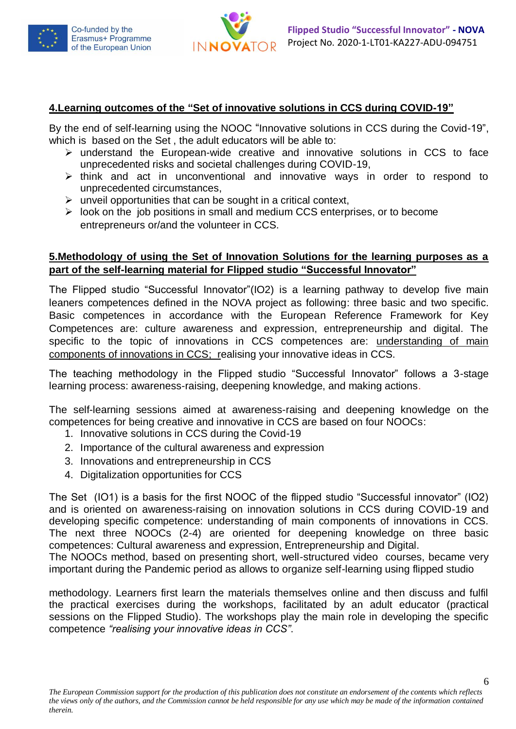



### **4.Learning outcomes of the "Set of innovative solutions in CCS during COVID-19"**

By the end of self-learning using the NOOC "Innovative solutions in CCS during the Covid-19". which is based on the Set , the adult educators will be able to:

- ➢ understand the European-wide creative and innovative solutions in CCS to face unprecedented risks and societal challenges during COVID-19,
- ➢ think and act in unconventional and innovative ways in order to respond to unprecedented circumstances,
- $\triangleright$  unveil opportunities that can be sought in a critical context,
- ➢ look on the job positions in small and medium CCS enterprises, or to become entrepreneurs or/and the volunteer in CCS.

### **5.Methodology of using the Set of Innovation Solutions for the learning purposes as a part of the self-learning material for Flipped studio "Successful Innovator"**

The Flipped studio "Successful Innovator"(IO2) is a learning pathway to develop five main leaners competences defined in the NOVA project as following: three basic and two specific. Basic competences in accordance with the European Reference Framework for Key Competences are: culture awareness and expression, entrepreneurship and digital. The specific to the topic of innovations in CCS competences are: understanding of main components of innovations in CCS; realising your innovative ideas in CCS.

The teaching methodology in the Flipped studio "Successful Innovator" follows a 3-stage learning process: awareness-raising, deepening knowledge, and making actions.

The self-learning sessions aimed at awareness-raising and deepening knowledge on the competences for being creative and innovative in CCS are based on four NOOCs:

- 1. Innovative solutions in CCS during the Covid-19
- 2. Importance of the cultural awareness and expression
- 3. Innovations and entrepreneurship in CCS
- 4. Digitalization opportunities for CCS

The Set (IO1) is a basis for the first NOOC of the flipped studio "Successful innovator" (IO2) and is oriented on awareness-raising on innovation solutions in CCS during COVID-19 and developing specific competence: understanding of main components of innovations in CCS. The next three NOOCs (2-4) are oriented for deepening knowledge on three basic competences: Cultural awareness and expression, Entrepreneurship and Digital.

The NOOCs method, based on presenting short, well-structured video courses, became very important during the Pandemic period as allows to organize self-learning using flipped studio

methodology. Learners first learn the materials themselves online and then discuss and fulfil the practical exercises during the workshops, facilitated by an adult educator (practical sessions on the Flipped Studio). The workshops play the main role in developing the specific competence *"realising your innovative ideas in CCS"*.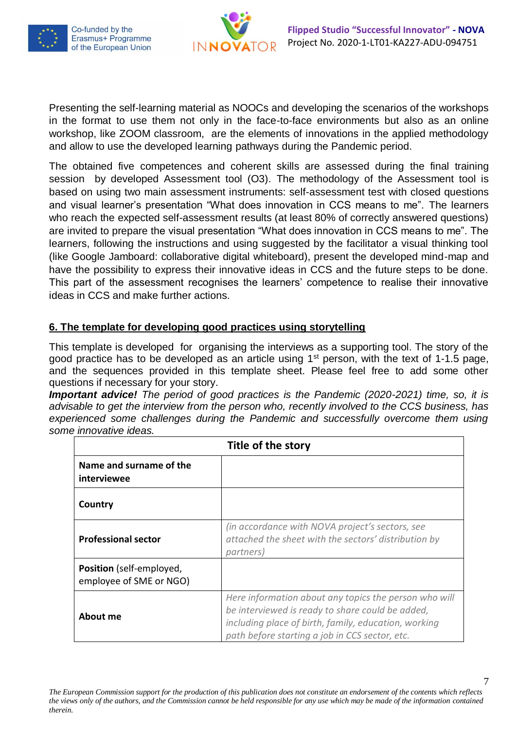



Presenting the self-learning material as NOOCs and developing the scenarios of the workshops in the format to use them not only in the face-to-face environments but also as an online workshop, like ZOOM classroom, are the elements of innovations in the applied methodology and allow to use the developed learning pathways during the Pandemic period.

The obtained five competences and coherent skills are assessed during the final training session by developed Assessment tool (O3). The methodology of the Assessment tool is based on using two main assessment instruments: self-assessment test with closed questions and visual learner's presentation "What does innovation in CCS means to me". The learners who reach the expected self-assessment results (at least 80% of correctly answered questions) are invited to prepare the visual presentation "What does innovation in CCS means to me". The learners, following the instructions and using suggested by the facilitator a visual thinking tool (like Google Jamboard: collaborative digital whiteboard), present the developed mind-map and have the possibility to express their innovative ideas in CCS and the future steps to be done. This part of the assessment recognises the learners' competence to realise their innovative ideas in CCS and make further actions.

# **6. The template for developing good practices using storytelling**

This template is developed for organising the interviews as a supporting tool. The story of the good practice has to be developed as an article using  $1<sup>st</sup>$  person, with the text of 1-1.5 page, and the sequences provided in this template sheet. Please feel free to add some other questions if necessary for your story.

*Important advice! The period of good practices is the Pandemic (2020-2021) time, so, it is advisable to get the interview from the person who, recently involved to the CCS business, has*  experienced some challenges during the Pandemic and successfully overcome them using *some innovative ideas.* 

| Title of the story                                  |                                                                                                                                                                                                                     |
|-----------------------------------------------------|---------------------------------------------------------------------------------------------------------------------------------------------------------------------------------------------------------------------|
| Name and surname of the<br>interviewee              |                                                                                                                                                                                                                     |
| Country                                             |                                                                                                                                                                                                                     |
| <b>Professional sector</b>                          | (in accordance with NOVA project's sectors, see<br>attached the sheet with the sectors' distribution by<br>partners)                                                                                                |
| Position (self-employed,<br>employee of SME or NGO) |                                                                                                                                                                                                                     |
| About me                                            | Here information about any topics the person who will<br>be interviewed is ready to share could be added,<br>including place of birth, family, education, working<br>path before starting a job in CCS sector, etc. |

*The European Commission support for the production of this publication does not constitute an endorsement of the contents which reflects the views only of the authors, and the Commission cannot be held responsible for any use which may be made of the information contained therein.*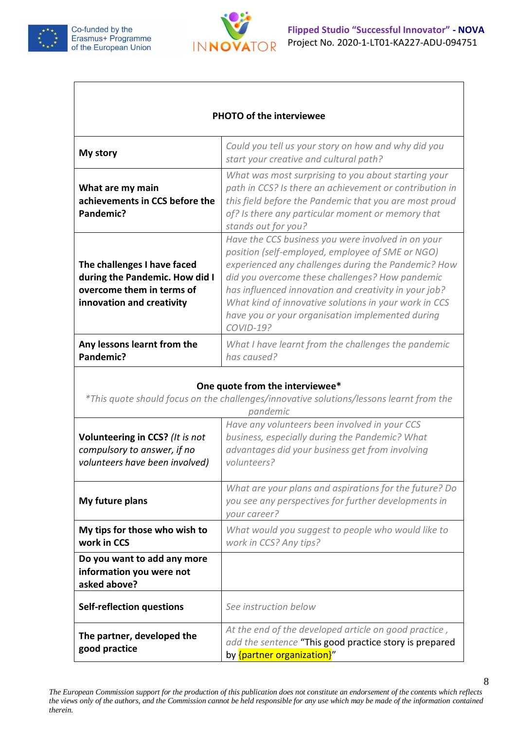



#### **PHOTO of the interviewee**

| My story                                                                                                                | Could you tell us your story on how and why did you<br>start your creative and cultural path?                                                                                                                                                                                                                                                                                                              |
|-------------------------------------------------------------------------------------------------------------------------|------------------------------------------------------------------------------------------------------------------------------------------------------------------------------------------------------------------------------------------------------------------------------------------------------------------------------------------------------------------------------------------------------------|
| What are my main<br>achievements in CCS before the<br>Pandemic?                                                         | What was most surprising to you about starting your<br>path in CCS? Is there an achievement or contribution in<br>this field before the Pandemic that you are most proud<br>of? Is there any particular moment or memory that<br>stands out for you?                                                                                                                                                       |
| The challenges I have faced<br>during the Pandemic. How did I<br>overcome them in terms of<br>innovation and creativity | Have the CCS business you were involved in on your<br>position (self-employed, employee of SME or NGO)<br>experienced any challenges during the Pandemic? How<br>did you overcome these challenges? How pandemic<br>has influenced innovation and creativity in your job?<br>What kind of innovative solutions in your work in CCS<br>have you or your organisation implemented during<br><b>COVID-19?</b> |
| Any lessons learnt from the<br>Pandemic?                                                                                | What I have learnt from the challenges the pandemic<br>has caused?                                                                                                                                                                                                                                                                                                                                         |

#### **One quote from the interviewee\***

| *This quote should focus on the challenges/innovative solutions/lessons learnt from the<br>pandemic |                                                                                                                                                                   |
|-----------------------------------------------------------------------------------------------------|-------------------------------------------------------------------------------------------------------------------------------------------------------------------|
| Volunteering in CCS? (It is not<br>compulsory to answer, if no<br>volunteers have been involved)    | Have any volunteers been involved in your CCS<br>business, especially during the Pandemic? What<br>advantages did your business get from involving<br>volunteers? |
| My future plans                                                                                     | What are your plans and aspirations for the future? Do<br>you see any perspectives for further developments in<br>your career?                                    |
| My tips for those who wish to<br>work in CCS                                                        | What would you suggest to people who would like to<br>work in CCS? Any tips?                                                                                      |
| Do you want to add any more<br>information you were not<br>asked above?                             |                                                                                                                                                                   |
| <b>Self-reflection questions</b>                                                                    | See instruction below                                                                                                                                             |
| The partner, developed the<br>good practice                                                         | At the end of the developed article on good practice,<br>add the sentence "This good practice story is prepared<br>by {partner organization}"                     |

*The European Commission support for the production of this publication does not constitute an endorsement of the contents which reflects the views only of the authors, and the Commission cannot be held responsible for any use which may be made of the information contained therein.*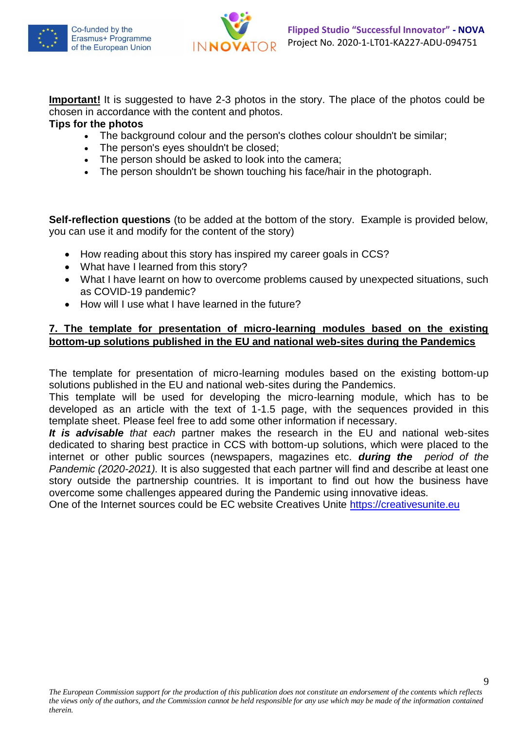



**Important!** It is suggested to have 2-3 photos in the story. The place of the photos could be chosen in accordance with the content and photos.

## **Tips for the photos**

- The background colour and the person's clothes colour shouldn't be similar;
- The person's eyes shouldn't be closed;
- The person should be asked to look into the camera:
- The person shouldn't be shown touching his face/hair in the photograph.

**Self-reflection questions** (to be added at the bottom of the story. Example is provided below, you can use it and modify for the content of the story)

- How reading about this story has inspired my career goals in CCS?
- What have I learned from this story?
- What I have learnt on how to overcome problems caused by unexpected situations, such as COVID-19 pandemic?
- How will I use what I have learned in the future?

# **7. The template for presentation of micro-learning modules based on the existing bottom-up solutions published in the EU and national web-sites during the Pandemics**

The template for presentation of micro-learning modules based on the existing bottom-up solutions published in the EU and national web-sites during the Pandemics.

This template will be used for developing the micro-learning module, which has to be developed as an article with the text of 1-1.5 page, with the sequences provided in this template sheet. Please feel free to add some other information if necessary.

*It is advisable that each* partner makes the research in the EU and national web-sites dedicated to sharing best practice in CCS with bottom-up solutions, which were placed to the internet or other public sources (newspapers, magazines etc. *during the period of the Pandemic (2020-2021).* It is also suggested that each partner will find and describe at least one story outside the partnership countries. It is important to find out how the business have overcome some challenges appeared during the Pandemic using innovative ideas.

One of the Internet sources could be EC website Creatives Unite [https://creativesunite.eu](https://creativesunite.eu/)

9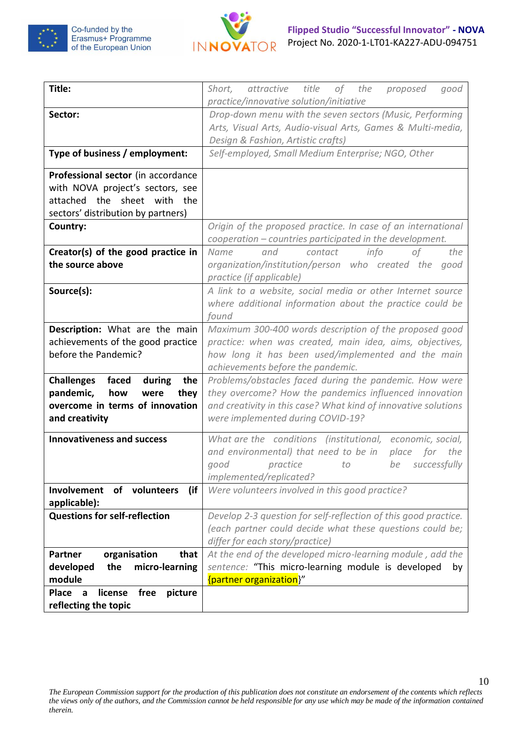



| Title:                                          | Short,<br>attractive<br>title<br>of the<br>proposed<br>good<br>practice/innovative solution/initiative                   |
|-------------------------------------------------|--------------------------------------------------------------------------------------------------------------------------|
| Sector:                                         | Drop-down menu with the seven sectors (Music, Performing                                                                 |
|                                                 | Arts, Visual Arts, Audio-visual Arts, Games & Multi-media,                                                               |
|                                                 | Design & Fashion, Artistic crafts)                                                                                       |
| Type of business / employment:                  | Self-employed, Small Medium Enterprise; NGO, Other                                                                       |
| Professional sector (in accordance              |                                                                                                                          |
| with NOVA project's sectors, see                |                                                                                                                          |
| attached the sheet with the                     |                                                                                                                          |
| sectors' distribution by partners)              |                                                                                                                          |
| Country:                                        | Origin of the proposed practice. In case of an international<br>cooperation – countries participated in the development. |
| Creator(s) of the good practice in              | info<br>0f<br>the<br>Name<br>and<br>contact                                                                              |
| the source above                                | organization/institution/person who created the<br>good<br>practice (if applicable)                                      |
| Source(s):                                      | A link to a website, social media or other Internet source                                                               |
|                                                 | where additional information about the practice could be                                                                 |
|                                                 | found                                                                                                                    |
| Description: What are the main                  | Maximum 300-400 words description of the proposed good                                                                   |
| achievements of the good practice               | practice: when was created, main idea, aims, objectives,                                                                 |
| before the Pandemic?                            | how long it has been used/implemented and the main                                                                       |
|                                                 | achievements before the pandemic.                                                                                        |
| <b>Challenges</b><br>faced<br>during<br>the     | Problems/obstacles faced during the pandemic. How were                                                                   |
| pandemic,<br>how<br>were<br>they                | they overcome? How the pandemics influenced innovation                                                                   |
| overcome in terms of innovation                 | and creativity in this case? What kind of innovative solutions                                                           |
| and creativity                                  | were implemented during COVID-19?                                                                                        |
| <b>Innovativeness and success</b>               | What are the conditions (institutional, economic, social,                                                                |
|                                                 | and environmental) that need to be in<br>place for the                                                                   |
|                                                 | successfully<br>practice<br>be<br>good<br>to                                                                             |
|                                                 | implemented/replicated?                                                                                                  |
| Involvement<br>of volunteers<br>(if             | Were volunteers involved in this good practice?                                                                          |
| applicable):                                    |                                                                                                                          |
| <b>Questions for self-reflection</b>            | Develop 2-3 question for self-reflection of this good practice.                                                          |
|                                                 | (each partner could decide what these questions could be;                                                                |
|                                                 | differ for each story/practice)                                                                                          |
| organisation<br><b>Partner</b><br>that          | At the end of the developed micro-learning module, add the                                                               |
| micro-learning<br>developed<br>the              | sentence: "This micro-learning module is developed<br>by                                                                 |
| module                                          | {partner organization}"                                                                                                  |
| license<br>free<br>picture<br><b>Place</b><br>a |                                                                                                                          |
| reflecting the topic                            |                                                                                                                          |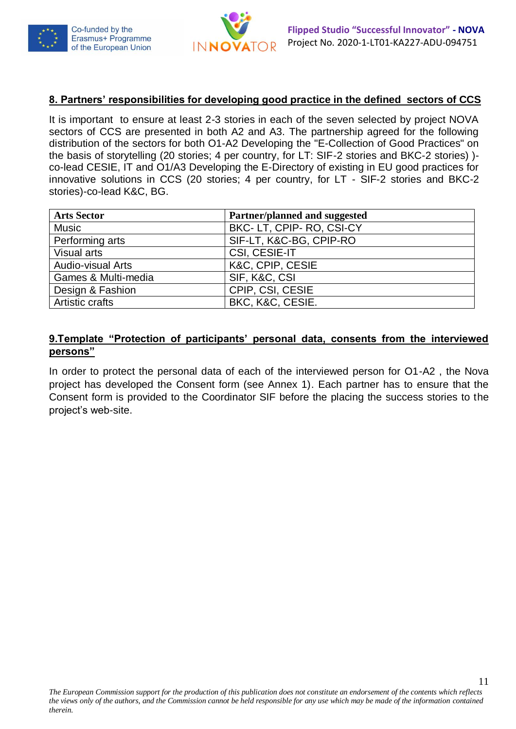



#### **8. Partners' responsibilities for developing good practice in the defined sectors of CCS**

It is important to ensure at least 2-3 stories in each of the seven selected by project NOVA sectors of CCS are presented in both A2 and A3. The partnership agreed for the following distribution of the sectors for both O1-A2 Developing the "E-Collection of Good Practices" on the basis of storytelling (20 stories; 4 per country, for LT: SIF-2 stories and BKC-2 stories) ) co-lead CESIE, IT and O1/A3 Developing the E-Directory of existing in EU good practices for innovative solutions in CCS (20 stories; 4 per country, for LT - SIF-2 stories and BKC-2 stories)-co-lead K&C, BG.

| <b>Arts Sector</b>       | Partner/planned and suggested |
|--------------------------|-------------------------------|
| <b>Music</b>             | BKC-LT, CPIP-RO, CSI-CY       |
| Performing arts          | SIF-LT, K&C-BG, CPIP-RO       |
| Visual arts              | CSI, CESIE-IT                 |
| <b>Audio-visual Arts</b> | K&C, CPIP, CESIE              |
| Games & Multi-media      | SIF, K&C, CSI                 |
| Design & Fashion         | CPIP, CSI, CESIE              |
| Artistic crafts          | BKC, K&C, CESIE.              |

## **9.Template "Protection of participants' personal data, consents from the interviewed persons"**

In order to protect the personal data of each of the interviewed person for O1-A2 , the Nova project has developed the Consent form (see Annex 1). Each partner has to ensure that the Consent form is provided to the Coordinator SIF before the placing the success stories to the project's web-site.

11